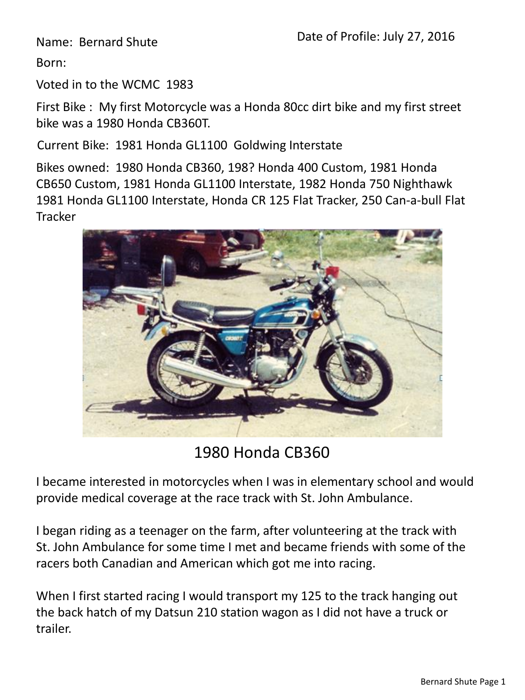Name: Bernard Shute

Born:

Voted in to the WCMC 1983

First Bike : My first Motorcycle was a Honda 80cc dirt bike and my first street bike was a 1980 Honda CB360T.

Current Bike: 1981 Honda GL1100 Goldwing Interstate

Bikes owned: 1980 Honda CB360, 198? Honda 400 Custom, 1981 Honda CB650 Custom, 1981 Honda GL1100 Interstate, 1982 Honda 750 Nighthawk 1981 Honda GL1100 Interstate, Honda CR 125 Flat Tracker, 250 Can-a-bull Flat **Tracker** 



1980 Honda CB360

I became interested in motorcycles when I was in elementary school and would provide medical coverage at the race track with St. John Ambulance.

I began riding as a teenager on the farm, after volunteering at the track with St. John Ambulance for some time I met and became friends with some of the racers both Canadian and American which got me into racing.

When I first started racing I would transport my 125 to the track hanging out the back hatch of my Datsun 210 station wagon as I did not have a truck or trailer.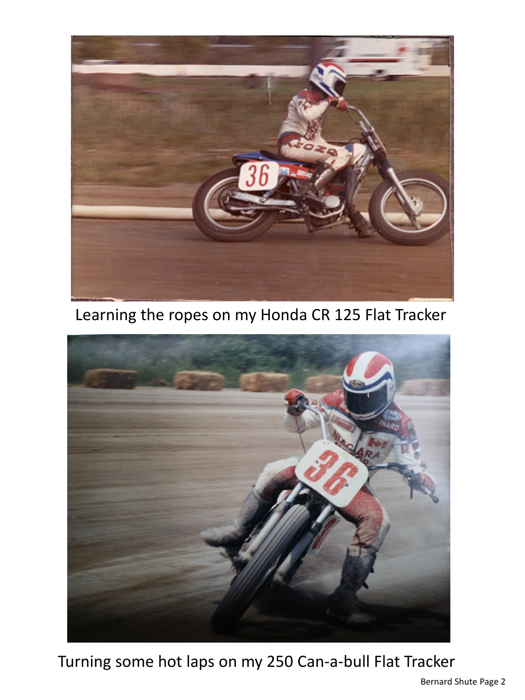

Learning the ropes on my Honda CR 125 Flat Tracker



Turning some hot laps on my 250 Can-a-bull Flat Tracker